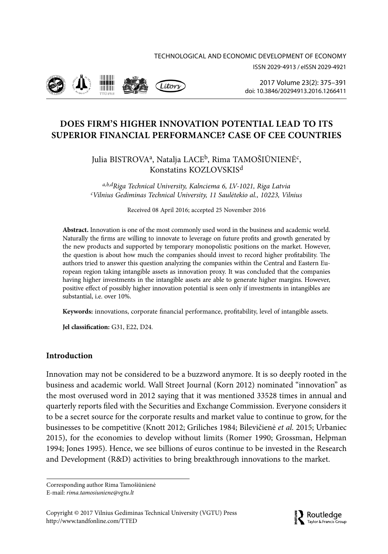ISSN 2029-4913 / eISSN 2029-4921



2017 Volume 23(2): 375–391 doi: 10.3846/20294913.2016.1266411

# **DOES FIRM'S HIGHER INNOVATION POTENTIAL LEAD TO ITS SUPERIOR FINANCIAL PERFORMANCE? CASE OF CEE COUNTRIES**

Julia BISTROVAª, Natalja LACE<sup>b</sup>, Rima TAMOŠIŪNIENĖ<sup>c</sup>, Konstatins KOZLOVSKIS<sup>d</sup>

*a,b,dRiga Technical University, Kalnciema 6, LV-1021, Riga Latvia c Vilnius Gediminas Technical University, 11 Saulėtekio al., 10223, Vilnius*

Received 08 April 2016; accepted 25 November 2016

**Abstract.** Innovation is one of the most commonly used word in the business and academic world. Naturally the firms are willing to innovate to leverage on future profits and growth generated by the new products and supported by temporary monopolistic positions on the market. However, the question is about how much the companies should invest to record higher profitability. The authors tried to answer this question analyzing the companies within the Central and Eastern European region taking intangible assets as innovation proxy. It was concluded that the companies having higher investments in the intangible assets are able to generate higher margins. However, positive effect of possibly higher innovation potential is seen only if investments in intangibles are substantial, i.e. over 10%.

**Keywords:** innovations, corporate financial performance, profitability, level of intangible assets.

**Jel classification:** G31, E22, D24.

## **Introduction**

Innovation may not be considered to be a buzzword anymore. It is so deeply rooted in the business and academic world. Wall Street Journal (Korn 2012) nominated "innovation" as the most overused word in 2012 saying that it was mentioned 33528 times in annual and quarterly reports filed with the Securities and Exchange Commission. Everyone considers it to be a secret source for the corporate results and market value to continue to grow, for the businesses to be competitive (Knott 2012; Griliches 1984; Bilevičienė *et al.* 2015; Urbaniec 2015), for the economies to develop without limits (Romer 1990; Grossman, Helpman 1994; Jones 1995). Hence, we see billions of euros continue to be invested in the Research and Development (R&D) activities to bring breakthrough innovations to the market.

Corresponding author Rima Tamošiūnienė



E-mail: *rima.tamosiuniene@vgtu.lt*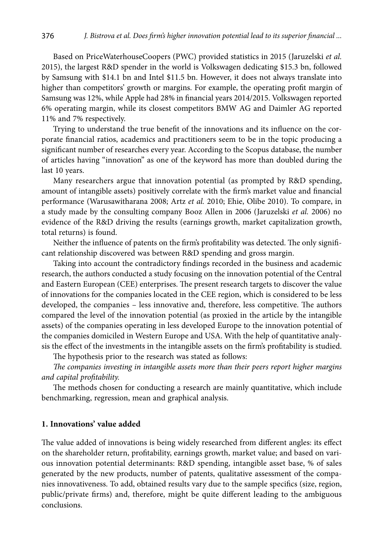Based on PriceWaterhouseCoopers (PWC) provided statistics in 2015 (Jaruzelski *et al.*  2015), the largest R&D spender in the world is Volkswagen dedicating \$15.3 bn, followed by Samsung with \$14.1 bn and Intel \$11.5 bn. However, it does not always translate into higher than competitors' growth or margins. For example, the operating profit margin of Samsung was 12%, while Apple had 28% in financial years 2014/2015. Volkswagen reported 6% operating margin, while its closest competitors BMW AG and Daimler AG reported 11% and 7% respectively.

Trying to understand the true benefit of the innovations and its influence on the corporate financial ratios, academics and practitioners seem to be in the topic producing a significant number of researches every year. According to the Scopus database, the number of articles having "innovation" as one of the keyword has more than doubled during the last 10 years.

Many researchers argue that innovation potential (as prompted by R&D spending, amount of intangible assets) positively correlate with the firm's market value and financial performance (Warusawitharana 2008; Artz *et al.* 2010; Ehie, Olibe 2010). To compare, in a study made by the consulting company Booz Allen in 2006 (Jaruzelski *et al.* 2006) no evidence of the R&D driving the results (earnings growth, market capitalization growth, total returns) is found.

Neither the influence of patents on the firm's profitability was detected. The only significant relationship discovered was between R&D spending and gross margin.

Taking into account the contradictory findings recorded in the business and academic research, the authors conducted a study focusing on the innovation potential of the Central and Eastern European (CEE) enterprises. The present research targets to discover the value of innovations for the companies located in the CEE region, which is considered to be less developed, the companies – less innovative and, therefore, less competitive. The authors compared the level of the innovation potential (as proxied in the article by the intangible assets) of the companies operating in less developed Europe to the innovation potential of the companies domiciled in Western Europe and USA. With the help of quantitative analysis the effect of the investments in the intangible assets on the firm's profitability is studied.

The hypothesis prior to the research was stated as follows:

*The companies investing in intangible assets more than their peers report higher margins and capital profitability.*

The methods chosen for conducting a research are mainly quantitative, which include benchmarking, regression, mean and graphical analysis.

### **1. Innovations' value added**

The value added of innovations is being widely researched from different angles: its effect on the shareholder return, profitability, earnings growth, market value; and based on various innovation potential determinants: R&D spending, intangible asset base, % of sales generated by the new products, number of patents, qualitative assessment of the companies innovativeness. To add, obtained results vary due to the sample specifics (size, region, public/private firms) and, therefore, might be quite different leading to the ambiguous conclusions.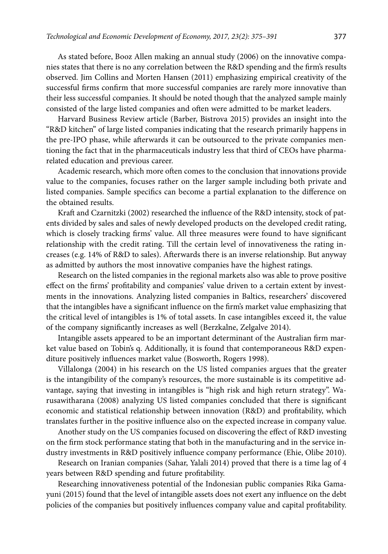As stated before, Booz Allen making an annual study (2006) on the innovative companies states that there is no any correlation between the R&D spending and the firm's results observed. Jim Collins and Morten Hansen (2011) emphasizing empirical creativity of the successful firms confirm that more successful companies are rarely more innovative than their less successful companies. It should be noted though that the analyzed sample mainly consisted of the large listed companies and often were admitted to be market leaders.

Harvard Business Review article (Barber, Bistrova 2015) provides an insight into the "R&D kitchen" of large listed companies indicating that the research primarily happens in the pre-IPO phase, while afterwards it can be outsourced to the private companies mentioning the fact that in the pharmaceuticals industry less that third of CEOs have pharmarelated education and previous career.

Academic research, which more often comes to the conclusion that innovations provide value to the companies, focuses rather on the larger sample including both private and listed companies. Sample specifics can become a partial explanation to the difference on the obtained results.

Kraft and Czarnitzki (2002) researched the influence of the R&D intensity, stock of patents divided by sales and sales of newly developed products on the developed credit rating, which is closely tracking firms' value. All three measures were found to have significant relationship with the credit rating. Till the certain level of innovativeness the rating increases (e.g. 14% of R&D to sales). Afterwards there is an inverse relationship. But anyway as admitted by authors the most innovative companies have the highest ratings.

Research on the listed companies in the regional markets also was able to prove positive effect on the firms' profitability and companies' value driven to a certain extent by investments in the innovations. Analyzing listed companies in Baltics, researchers' discovered that the intangibles have a significant influence on the firm's market value emphasizing that the critical level of intangibles is 1% of total assets. In case intangibles exceed it, the value of the company significantly increases as well (Berzkalne, Zelgalve 2014).

Intangible assets appeared to be an important determinant of the Australian firm market value based on Tobin's q. Additionally, it is found that contemporaneous R&D expenditure positively influences market value (Bosworth, Rogers 1998).

Villalonga (2004) in his research on the US listed companies argues that the greater is the intangibility of the company's resources, the more sustainable is its competitive advantage, saying that investing in intangibles is "high risk and high return strategy". Warusawitharana (2008) analyzing US listed companies concluded that there is significant economic and statistical relationship between innovation (R&D) and profitability, which translates further in the positive influence also on the expected increase in company value.

Another study on the US companies focused on discovering the effect of R&D investing on the firm stock performance stating that both in the manufacturing and in the service industry investments in R&D positively influence company performance (Ehie, Olibe 2010).

Research on Iranian companies (Sahar, Yalali 2014) proved that there is a time lag of 4 years between R&D spending and future profitability.

Researching innovativeness potential of the Indonesian public companies Rika Gamayuni (2015) found that the level of intangible assets does not exert any influence on the debt policies of the companies but positively influences company value and capital profitability.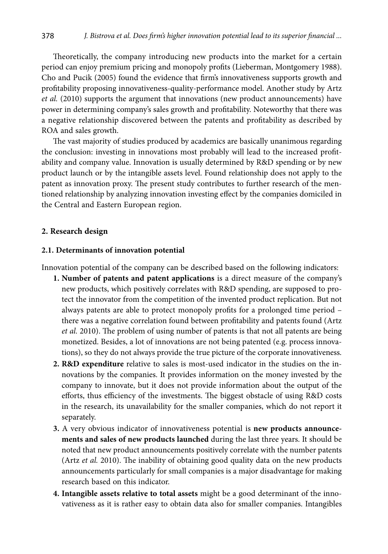Theoretically, the company introducing new products into the market for a certain period can enjoy premium pricing and monopoly profits (Lieberman, Montgomery 1988). Cho and Pucik (2005) found the evidence that firm's innovativeness supports growth and profitability proposing innovativeness-quality-performance model. Another study by Artz *et al.* (2010) supports the argument that innovations (new product announcements) have power in determining company's sales growth and profitability. Noteworthy that there was a negative relationship discovered between the patents and profitability as described by ROA and sales growth.

The vast majority of studies produced by academics are basically unanimous regarding the conclusion: investing in innovations most probably will lead to the increased profitability and company value. Innovation is usually determined by R&D spending or by new product launch or by the intangible assets level. Found relationship does not apply to the patent as innovation proxy. The present study contributes to further research of the mentioned relationship by analyzing innovation investing effect by the companies domiciled in the Central and Eastern European region.

## **2. Research design**

## **2.1. Determinants of innovation potential**

Innovation potential of the company can be described based on the following indicators:

- **1. Number of patents and patent applications** is a direct measure of the company's new products, which positively correlates with R&D spending, are supposed to protect the innovator from the competition of the invented product replication. But not always patents are able to protect monopoly profits for a prolonged time period – there was a negative correlation found between profitability and patents found (Artz *et al.* 2010). The problem of using number of patents is that not all patents are being monetized. Besides, a lot of innovations are not being patented (e.g. process innovations), so they do not always provide the true picture of the corporate innovativeness.
- **2. R&D expenditure** relative to sales is most-used indicator in the studies on the innovations by the companies. It provides information on the money invested by the company to innovate, but it does not provide information about the output of the efforts, thus efficiency of the investments. The biggest obstacle of using R&D costs in the research, its unavailability for the smaller companies, which do not report it separately.
- **3.** A very obvious indicator of innovativeness potential is **new products announcements and sales of new products launched** during the last three years. It should be noted that new product announcements positively correlate with the number patents (Artz *et al.* 2010). The inability of obtaining good quality data on the new products announcements particularly for small companies is a major disadvantage for making research based on this indicator.
- **4. Intangible assets relative to total assets** might be a good determinant of the innovativeness as it is rather easy to obtain data also for smaller companies. Intangibles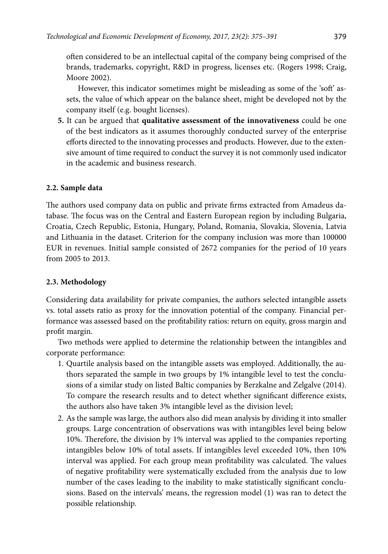often considered to be an intellectual capital of the company being comprised of the brands, trademarks, copyright, R&D in progress, licenses etc. (Rogers 1998; Craig, Moore 2002).

However, this indicator sometimes might be misleading as some of the 'soft' assets, the value of which appear on the balance sheet, might be developed not by the company itself (e.g. bought licenses).

**5.** It can be argued that **qualitative assessment of the innovativeness** could be one of the best indicators as it assumes thoroughly conducted survey of the enterprise efforts directed to the innovating processes and products. However, due to the extensive amount of time required to conduct the survey it is not commonly used indicator in the academic and business research.

## **2.2. Sample data**

The authors used company data on public and private firms extracted from Amadeus database. The focus was on the Central and Eastern European region by including Bulgaria, Croatia, Czech Republic, Estonia, Hungary, Poland, Romania, Slovakia, Slovenia, Latvia and Lithuania in the dataset. Criterion for the company inclusion was more than 100000 EUR in revenues. Initial sample consisted of 2672 companies for the period of 10 years from 2005 to 2013.

## **2.3. Methodology**

Considering data availability for private companies, the authors selected intangible assets vs. total assets ratio as proxy for the innovation potential of the company. Financial performance was assessed based on the profitability ratios: return on equity, gross margin and profit margin.

Two methods were applied to determine the relationship between the intangibles and corporate performance:

- 1. Quartile analysis based on the intangible assets was employed. Additionally, the authors separated the sample in two groups by 1% intangible level to test the conclusions of a similar study on listed Baltic companies by Berzkalne and Zelgalve (2014). To compare the research results and to detect whether significant difference exists, the authors also have taken 3% intangible level as the division level;
- 2. As the sample was large, the authors also did mean analysis by dividing it into smaller groups. Large concentration of observations was with intangibles level being below 10%. Therefore, the division by 1% interval was applied to the companies reporting intangibles below 10% of total assets. If intangibles level exceeded 10%, then 10% interval was applied. For each group mean profitability was calculated. The values of negative profitability were systematically excluded from the analysis due to low number of the cases leading to the inability to make statistically significant conclusions. Based on the intervals' means, the regression model (1) was ran to detect the possible relationship.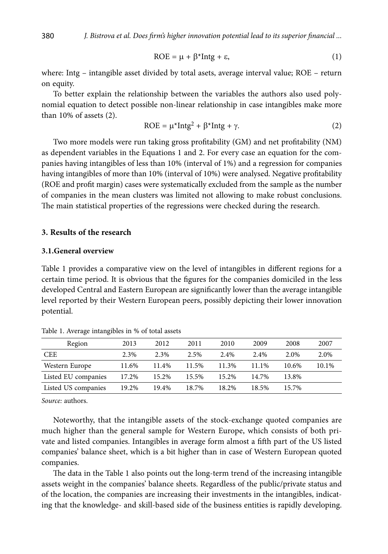$$
ROE = \mu + \beta^* Intg + \varepsilon,\tag{1}
$$

where: Intg – intangible asset divided by total asets, average interval value; ROE – return on equity.

To better explain the relationship between the variables the authors also used polynomial equation to detect possible non-linear relationship in case intangibles make more than 10% of assets (2).

$$
ROE = \mu^* Intg^2 + \beta^* Intg + \gamma.
$$
 (2)

Two more models were run taking gross profitability (GM) and net profitability (NM) as dependent variables in the Equations 1 and 2. For every case an equation for the companies having intangibles of less than 10% (interval of 1%) and a regression for companies having intangibles of more than 10% (interval of 10%) were analysed. Negative profitability (ROE and profit margin) cases were systematically excluded from the sample as the number of companies in the mean clusters was limited not allowing to make robust conclusions. The main statistical properties of the regressions were checked during the research.

## **3. Results of the research**

#### **3.1.General overview**

Table 1 provides a comparative view on the level of intangibles in different regions for a certain time period. It is obvious that the figures for the companies domiciled in the less developed Central and Eastern European are significantly lower than the average intangible level reported by their Western European peers, possibly depicting their lower innovation potential.

| Region              | 2013  | 2012  | 2011  | 2010  | 2009  | 2008  | 2007  |
|---------------------|-------|-------|-------|-------|-------|-------|-------|
| <b>CEE</b>          | 2.3%  | 2.3%  | 2.5%  | 2.4%  | 2.4%  | 2.0%  | 2.0%  |
| Western Europe      | 11.6% | 11.4% | 11.5% | 11.3% | 11.1% | 10.6% | 10.1% |
| Listed EU companies | 17.2% | 15.2% | 15.5% | 15.2% | 14.7% | 13.8% |       |
| Listed US companies | 19.2% | 19.4% | 18.7% | 18.2% | 18.5% | 15.7% |       |

Table 1. Average intangibles in % of total assets

*Source:* authors.

Noteworthy, that the intangible assets of the stock-exchange quoted companies are much higher than the general sample for Western Europe, which consists of both private and listed companies. Intangibles in average form almost a fifth part of the US listed companies' balance sheet, which is a bit higher than in case of Western European quoted companies.

The data in the Table 1 also points out the long-term trend of the increasing intangible assets weight in the companies' balance sheets. Regardless of the public/private status and of the location, the companies are increasing their investments in the intangibles, indicating that the knowledge- and skill-based side of the business entities is rapidly developing.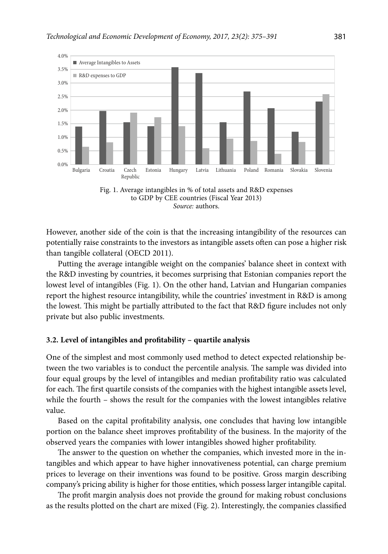



However, another side of the coin is that the increasing intangibility of the resources can potentially raise constraints to the investors as intangible assets often can pose a higher risk than tangible collateral (OECD 2011).

Putting the average intangible weight on the companies' balance sheet in context with the R&D investing by countries, it becomes surprising that Estonian companies report the lowest level of intangibles (Fig. 1). On the other hand, Latvian and Hungarian companies report the highest resource intangibility, while the countries' investment in R&D is among the lowest. This might be partially attributed to the fact that R&D figure includes not only private but also public investments.

## **3.2. Level of intangibles and profitability – quartile analysis**

One of the simplest and most commonly used method to detect expected relationship between the two variables is to conduct the percentile analysis. The sample was divided into four equal groups by the level of intangibles and median profitability ratio was calculated for each. The first quartile consists of the companies with the highest intangible assets level, while the fourth – shows the result for the companies with the lowest intangibles relative value.

Based on the capital profitability analysis, one concludes that having low intangible portion on the balance sheet improves profitability of the business. In the majority of the observed years the companies with lower intangibles showed higher profitability.

The answer to the question on whether the companies, which invested more in the intangibles and which appear to have higher innovativeness potential, can charge premium prices to leverage on their inventions was found to be positive. Gross margin describing company's pricing ability is higher for those entities, which possess larger intangible capital.

The profit margin analysis does not provide the ground for making robust conclusions as the results plotted on the chart are mixed (Fig. 2). Interestingly, the companies classified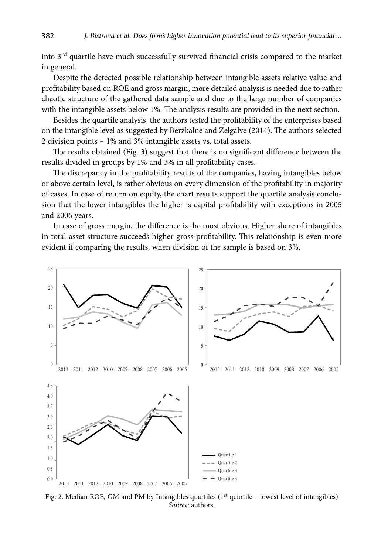into  $3<sup>rd</sup>$  quartile have much successfully survived financial crisis compared to the market in general.

Despite the detected possible relationship between intangible assets relative value and profitability based on ROE and gross margin, more detailed analysis is needed due to rather chaotic structure of the gathered data sample and due to the large number of companies with the intangible assets below 1%. The analysis results are provided in the next section.

Besides the quartile analysis, the authors tested the profitability of the enterprises based on the intangible level as suggested by Berzkalne and Zelgalve (2014). The authors selected 2 division points – 1% and 3% intangible assets vs. total assets.

The results obtained (Fig. 3) suggest that there is no significant difference between the results divided in groups by 1% and 3% in all profitability cases.

The discrepancy in the profitability results of the companies, having intangibles below or above certain level, is rather obvious on every dimension of the profitability in majority of cases. In case of return on equity, the chart results support the quartile analysis conclusion that the lower intangibles the higher is capital profitability with exceptions in 2005 and 2006 years.

In case of gross margin, the difference is the most obvious. Higher share of intangibles in total asset structure succeeds higher gross profitability. This relationship is even more evident if comparing the results, when division of the sample is based on 3%.



Fig. 2. Median ROE, GM and PM by Intangibles quartiles ( $1<sup>st</sup>$  quartile – lowest level of intangibles) *Source:* authors.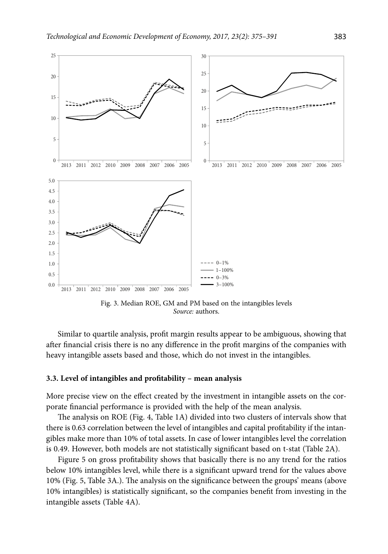

Fig. 3. Median ROE, GM and PM based on the intangibles levels *Source:* authors.

Similar to quartile analysis, profit margin results appear to be ambiguous, showing that after financial crisis there is no any difference in the profit margins of the companies with heavy intangible assets based and those, which do not invest in the intangibles.

### **3.3. Level of intangibles and profitability – mean analysis**

More precise view on the effect created by the investment in intangible assets on the corporate financial performance is provided with the help of the mean analysis.

The analysis on ROE (Fig. 4, Table 1A) divided into two clusters of intervals show that there is 0.63 correlation between the level of intangibles and capital profitability if the intangibles make more than 10% of total assets. In case of lower intangibles level the correlation is 0.49. However, both models are not statistically significant based on t-stat (Table 2A).

Figure 5 on gross profitability shows that basically there is no any trend for the ratios below 10% intangibles level, while there is a significant upward trend for the values above 10% (Fig. 5, Table 3A.). The analysis on the significance between the groups' means (above 10% intangibles) is statistically significant, so the companies benefit from investing in the intangible assets (Table 4A).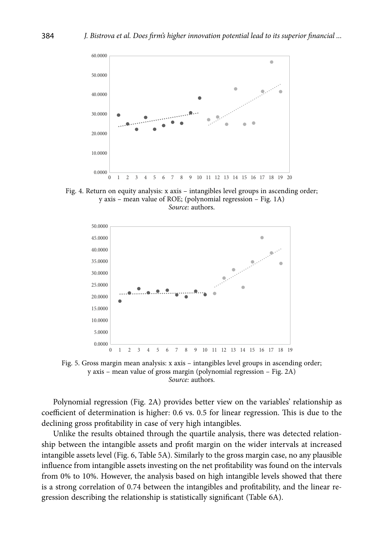

Fig. 4. Return on equity analysis: x axis – intangibles level groups in ascending order; y axis – mean value of ROE; (polynomial regression – Fig. 1A) *Source:* authors.



Fig. 5. Gross margin mean analysis: x axis – intangibles level groups in ascending order; y axis – mean value of gross margin (polynomial regression – Fig. 2A) *Source:* authors.

Polynomial regression (Fig. 2A) provides better view on the variables' relationship as coefficient of determination is higher: 0.6 vs. 0.5 for linear regression. This is due to the declining gross profitability in case of very high intangibles.

Unlike the results obtained through the quartile analysis, there was detected relationship between the intangible assets and profit margin on the wider intervals at increased intangible assets level (Fig. 6, Table 5A). Similarly to the gross margin case, no any plausible influence from intangible assets investing on the net profitability was found on the intervals from 0% to 10%. However, the analysis based on high intangible levels showed that there is a strong correlation of 0.74 between the intangibles and profitability, and the linear regression describing the relationship is statistically significant (Table 6A).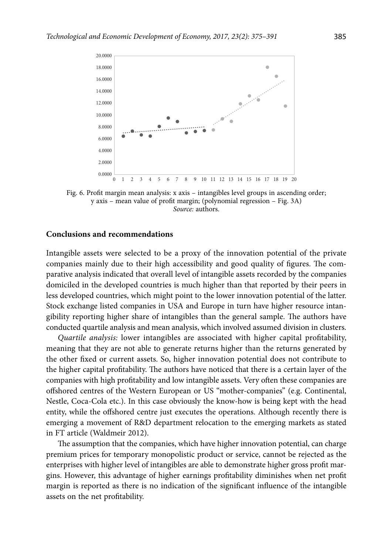

Fig. 6. Profit margin mean analysis: x axis – intangibles level groups in ascending order; y axis – mean value of profit margin; (polynomial regression – Fig. 3A) *Source:* authors.

### **Conclusions and recommendations**

Intangible assets were selected to be a proxy of the innovation potential of the private companies mainly due to their high accessibility and good quality of figures. The comparative analysis indicated that overall level of intangible assets recorded by the companies domiciled in the developed countries is much higher than that reported by their peers in less developed countries, which might point to the lower innovation potential of the latter. Stock exchange listed companies in USA and Europe in turn have higher resource intangibility reporting higher share of intangibles than the general sample. The authors have conducted quartile analysis and mean analysis, which involved assumed division in clusters.

*Quartile analysis:* lower intangibles are associated with higher capital profitability, meaning that they are not able to generate returns higher than the returns generated by the other fixed or current assets. So, higher innovation potential does not contribute to the higher capital profitability. The authors have noticed that there is a certain layer of the companies with high profitability and low intangible assets. Very often these companies are offshored centres of the Western European or US "mother-companies" (e.g. Continental, Nestle, Coca-Cola etc.). In this case obviously the know-how is being kept with the head entity, while the offshored centre just executes the operations. Although recently there is emerging a movement of R&D department relocation to the emerging markets as stated in FT article (Waldmeir 2012).

The assumption that the companies, which have higher innovation potential, can charge premium prices for temporary monopolistic product or service, cannot be rejected as the enterprises with higher level of intangibles are able to demonstrate higher gross profit margins. However, this advantage of higher earnings profitability diminishes when net profit margin is reported as there is no indication of the significant influence of the intangible assets on the net profitability.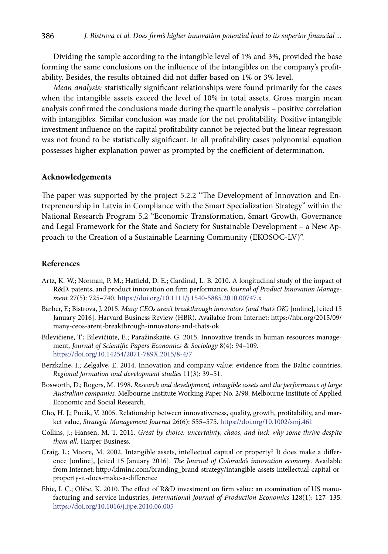Dividing the sample according to the intangible level of 1% and 3%, provided the base forming the same conclusions on the influence of the intangibles on the company's profitability. Besides, the results obtained did not differ based on 1% or 3% level.

*Mean analysis:* statistically significant relationships were found primarily for the cases when the intangible assets exceed the level of 10% in total assets. Gross margin mean analysis confirmed the conclusions made during the quartile analysis – positive correlation with intangibles. Similar conclusion was made for the net profitability. Positive intangible investment influence on the capital profitability cannot be rejected but the linear regression was not found to be statistically significant. In all profitability cases polynomial equation possesses higher explanation power as prompted by the coefficient of determination.

## **Acknowledgements**

The paper was supported by the project 5.2.2 "The Development of Innovation and Entrepreneurship in Latvia in Compliance with the Smart Specialization Strategy" within the National Research Program 5.2 "Economic Transformation, Smart Growth, Governance and Legal Framework for the State and Society for Sustainable Development – a New Approach to the Creation of a Sustainable Learning Community (EKOSOC-LV)".

## **References**

- Artz, K. W.; Norman, P. M.; Hatfield, D. E.; Cardinal, L. B. 2010. A longitudinal study of the impact of R&D, patents, and product innovation on firm performance, *Journal of Product Innovation Management* 27(5): 725–740. https://doi.org/10.1111/j.1540-5885.2010.00747.x
- Barber, F.; Bistrova, J. 2015. *Many CEOs aren't breakthrough innovators (and that's OK)* [online], [cited 15 January 2016]. Harvard Business Review (HBR). Available from Internet: https://hbr.org/2015/09/ many-ceos-arent-breakthrough-innovators-and-thats-ok
- Bilevičienė, T.; Bilevičiūtė, E.; Paražinskaitė, G. 2015. Innovative trends in human resources management, *Journal of Scientific Papers Economics* & *Sociology* 8(4): 94–109. https://doi.org/10.14254/2071-789X.2015/8-4/7
- Berzkalne, I.; Zelgalve, E. 2014. Innovation and company value: evidence from the Baltic countries, *Regional formation and development studies* 11(3): 39–51.
- Bosworth, D.; Rogers, M. 1998. *Research and development, intangible assets and the performance of large Australian companies.* Melbourne Institute Working Paper No. 2/98. Melbourne Institute of Applied Economic and Social Research.
- Cho, H. J.; Pucik, V. 2005. Relationship between innovativeness, quality, growth, profitability, and market value, *Strategic Management Journal* 26(6): 555–575. https://doi.org/10.1002/smj.461
- Collins, J.; Hansen, M. T. 2011. *Great by choice: uncertainty, chaos, and luck-why some thrive despite them all*. Harper Business.
- Craig, L.; Moore, M. 2002. Intangible assets, intellectual capital or property? It does make a difference [online], [cited 15 January 2016]. *The Journal of Colorado's innovation economy*. Available from Internet: http://klminc.com/branding\_brand-strategy/intangible-assets-intellectual-capital-orproperty-it-does-make-a-difference
- Ehie, I. C.; Olibe, K. 2010. The effect of R&D investment on firm value: an examination of US manufacturing and service industries, *International Journal of Production Economics* 128(1): 127–135. https://doi.org/10.1016/j.ijpe.2010.06.005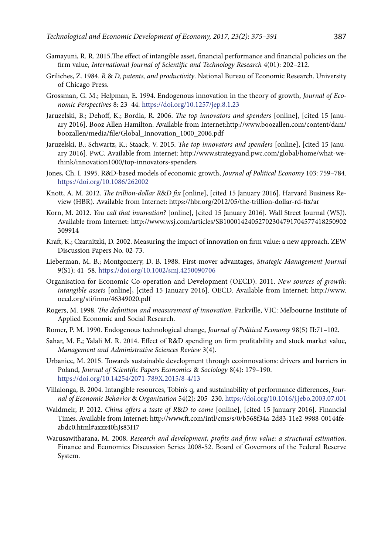- Gamayuni, R. R. 2015.The effect of intangible asset, financial performance and financial policies on the firm value, *International Journal of Scientific and Technology Research* 4(01): 202–212.
- Griliches, Z. 1984. *R* & *D, patents, and productivity*. National Bureau of Economic Research. University of Chicago Press.
- Grossman, G. M.; Helpman, E. 1994. Endogenous innovation in the theory of growth, *Journal of Economic Perspectives* 8: 23–44. https://doi.org/10.1257/jep.8.1.23
- Jaruzelski, B.; Dehoff, K.; Bordia, R. 2006. *The top innovators and spenders* [online], [cited 15 January 2016]. Booz Allen Hamilton. Available from Internet:http://www.boozallen.com/content/dam/ boozallen/media/file/Global\_Innovation\_1000\_2006.pdf
- Jaruzelski, B.; Schwartz, K.; Staack, V. 2015. *The top innovators and spenders* [online], [cited 15 January 2016]. PwC. Available from Internet: http://www.strategyand.pwc.com/global/home/what-wethink/innovation1000/top-innovators-spenders
- Jones, Ch. I. 1995. R&D-based models of economic growth, *Journal of Political Economy* 103: 759–784. https://doi.org/10.1086/262002
- Knott, A. M. 2012. *The trillion-dollar R*&*D fix* [online], [cited 15 January 2016]. Harvard Business Review (HBR). Available from Internet: https://hbr.org/2012/05/the-trillion-dollar-rd-fix/ar
- Korn, M. 2012. *You call that innovation?* [online], [cited 15 January 2016]. Wall Street Journal (WSJ). Available from Internet: http://www.wsj.com/articles/SB10001424052702304791704577418250902 309914
- Kraft, K.; Czarnitzki, D. 2002. Measuring the impact of innovation on firm value: a new approach. ZEW Discussion Papers No. 02-73.
- Lieberman, M. B.; Montgomery, D. B. 1988. First-mover advantages, *Strategic Management Journal* 9(S1): 41–58. https://doi.org/10.1002/smj.4250090706
- Organisation for Economic Co-operation and Development (OECD). 2011. *New sources of growth: intangible assets* [online], [cited 15 January 2016]. OECD. Available from Internet: http://www. oecd.org/sti/inno/46349020.pdf
- Rogers, M. 1998. *The definition and measurement of innovation*. Parkville, VIC: Melbourne Institute of Applied Economic and Social Research.
- Romer, P. M. 1990. Endogenous technological change, *Journal of Political Economy* 98(5) II:71–102.
- Sahar, M. E.; Yalali M. R. 2014. Effect of R&D spending on firm profitability and stock market value, *Management and Administrative Sciences Review* 3(4).
- Urbaniec, M. 2015. Towards sustainable development through ecoinnovations: drivers and barriers in Poland, *Journal of Scientific Papers Economics* & *Sociology* 8(4): 179–190. https://doi.org/10.14254/2071-789X.2015/8-4/13
- Villalonga, B. 2004. Intangible resources, Tobin's q, and sustainability of performance differences, *Journal of Economic Behavior* & *Organization* 54(2): 205–230. https://doi.org/10.1016/j.jebo.2003.07.001
- Waldmeir, P. 2012. *China offers a taste of R*&*D to come* [online], [cited 15 January 2016]. Financial Times. Available from Internet: http://www.ft.com/intl/cms/s/0/b568f34a-2d83-11e2-9988-00144feabdc0.html#axzz40hJs83H7
- Warusawitharana, M. 2008. *Research and development, profits and firm value: a structural estimation.* Finance and Economics Discussion Series 2008-52. Board of Governors of the Federal Reserve System.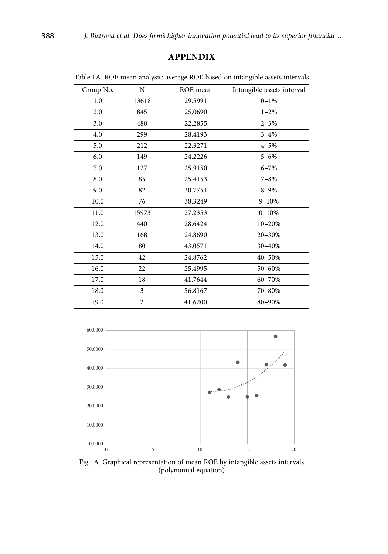## **APPENDIX**

| Group No. | N     | ROE mean | Intangible assets interval |
|-----------|-------|----------|----------------------------|
| 1.0       | 13618 | 29.5991  | $0 - 1\%$                  |
| 2.0       | 845   | 25.0690  | $1 - 2\%$                  |
| 3.0       | 480   | 22.2855  | $2 - 3\%$                  |
| 4.0       | 299   | 28.4193  | $3 - 4%$                   |
| 5.0       | 212   | 22.3271  | $4 - 5%$                   |
| 6.0       | 149   | 24.2226  | $5 - 6\%$                  |
| 7.0       | 127   | 25.9150  | $6 - 7%$                   |
| 8.0       | 85    | 25.4153  | $7 - 8\%$                  |
| 9.0       | 82    | 30.7751  | $8 - 9\%$                  |
| 10.0      | 76    | 38.3249  | $9 - 10%$                  |
| 11.0      | 15973 | 27.2353  | $0 - 10%$                  |
| 12.0      | 440   | 28.6424  | 10-20%                     |
| 13.0      | 168   | 24.8690  | 20-30%                     |
| 14.0      | 80    | 43.0571  | 30-40%                     |
| 15.0      | 42    | 24.8762  | 40-50%                     |
| 16.0      | 22    | 25.4995  | 50-60%                     |
| 17.0      | 18    | 41.7644  | 60-70%                     |
| 18.0      | 3     | 56.8167  | 70-80%                     |
| 19.0      | 2     | 41.6200  | 80-90%                     |

Table 1A. ROE mean analysis: average ROE based on intangible assets intervals



Fig.1A. Graphical representation of mean ROE by intangible assets intervals (polynomial equation)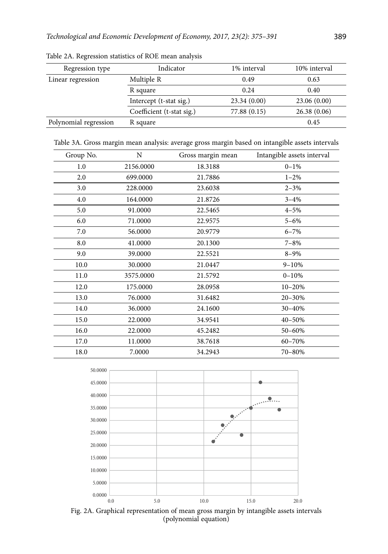| Regression type       | Indicator                 | 1% interval  | 10% interval |
|-----------------------|---------------------------|--------------|--------------|
| Linear regression     | Multiple R                | 0.49         | 0.63         |
|                       | R square                  | 0.24         | 0.40         |
|                       | Intercept (t-stat sig.)   | 23.34(0.00)  | 23.06(0.00)  |
|                       | Coefficient (t-stat sig.) | 77.88 (0.15) | 26.38(0.06)  |
| Polynomial regression | R square                  |              | 0.45         |

Table 2A. Regression statistics of ROE mean analysis

Table 3A. Gross margin mean analysis: average gross margin based on intangible assets intervals

| Group No. | N         | Gross margin mean | Intangible assets interval |
|-----------|-----------|-------------------|----------------------------|
| 1.0       | 2156.0000 | 18.3188           | $0 - 1\%$                  |
| 2.0       | 699.0000  | 21.7886           | $1 - 2\%$                  |
| 3.0       | 228.0000  | 23.6038           | $2 - 3\%$                  |
| 4.0       | 164.0000  | 21.8726           | $3 - 4%$                   |
| 5.0       | 91.0000   | 22.5465           | $4 - 5%$                   |
| 6.0       | 71.0000   | 22.9575           | $5 - 6\%$                  |
| 7.0       | 56.0000   | 20.9779           | $6 - 7%$                   |
| 8.0       | 41.0000   | 20.1300           | $7 - 8\%$                  |
| 9.0       | 39.0000   | 22.5521           | $8 - 9\%$                  |
| 10.0      | 30.0000   | 21.0447           | $9 - 10%$                  |
| 11.0      | 3575.0000 | 21.5792           | $0 - 10%$                  |
| 12.0      | 175.0000  | 28.0958           | $10 - 20%$                 |
| 13.0      | 76.0000   | 31.6482           | 20-30%                     |
| 14.0      | 36.0000   | 24.1600           | 30-40%                     |
| 15.0      | 22.0000   | 34.9541           | 40-50%                     |
| 16.0      | 22.0000   | 45.2482           | 50-60%                     |
| 17.0      | 11.0000   | 38.7618           | 60-70%                     |
| 18.0      | 7.0000    | 34.2943           | 70-80%                     |



Fig. 2A. Graphical representation of mean gross margin by intangible assets intervals (polynomial equation)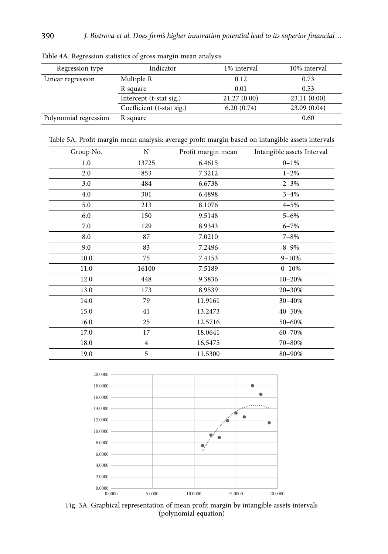| Regression type       | Indicator                 | 1% interval | 10% interval |
|-----------------------|---------------------------|-------------|--------------|
| Linear regression     | Multiple R                | 0.12        | 0.73         |
|                       | R square                  | 0.01        | 0.53         |
|                       | Intercept (t-stat sig.)   | 21.27(0.00) | 23.11(0.00)  |
|                       | Coefficient (t-stat sig.) | 6.20(0.74)  | 23.09(0.04)  |
| Polynomial regression | R square                  |             | 0.60         |

Table 4A. Regression statistics of gross margin mean analysis

Table 5A. Profit margin mean analysis: average profit margin based on intangible assets intervals

| Group No. | N              | Profit margin mean | Intangible assets Interval |
|-----------|----------------|--------------------|----------------------------|
| 1.0       | 13725          | 6.4615             | $0 - 1\%$                  |
| 2.0       | 853            | 7.3212             | $1 - 2\%$                  |
| 3.0       | 484            | 6.6738             | $2 - 3\%$                  |
| 4.0       | 301            | 6.4898             | $3 - 4%$                   |
| 5.0       | 213            | 8.1076             | $4 - 5%$                   |
| 6.0       | 150            | 9.5148             | $5 - 6\%$                  |
| 7.0       | 129            | 8.9343             | $6 - 7\%$                  |
| 8.0       | 87             | 7.0210             | $7 - 8\%$                  |
| 9.0       | 83             | 7.2496             | $8 - 9\%$                  |
| 10.0      | 75             | 7.4153             | $9 - 10%$                  |
| 11.0      | 16100          | 7.5189             | $0 - 10%$                  |
| 12.0      | 448            | 9.3836             | $10 - 20%$                 |
| 13.0      | 173            | 8.9539             | $20 - 30%$                 |
| 14.0      | 79             | 11.9161            | 30-40%                     |
| 15.0      | 41             | 13.2473            | 40-50%                     |
| 16.0      | 25             | 12.5716            | 50-60%                     |
| 17.0      | 17             | 18.0641            | 60-70%                     |
| 18.0      | $\overline{4}$ | 16.5475            | 70-80%                     |
| 19.0      | 5              | 11.5300            | 80-90%                     |



Fig. 3A. Graphical representation of mean profit margin by intangible assets intervals (polynomial equation)